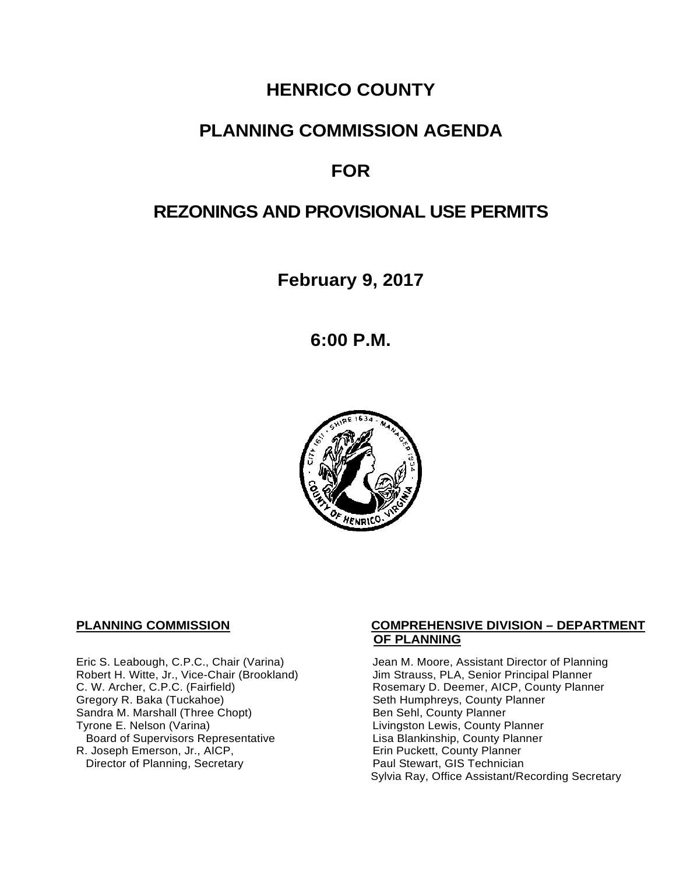## **HENRICO COUNTY**

## **PLANNING COMMISSION AGENDA**

## **FOR**

## **REZONINGS AND PROVISIONAL USE PERMITS**

**February 9, 2017**

**6:00 P.M.**



Eric S. Leabough, C.P.C., Chair (Varina) Jean M. Moore, Assistant Director of Planning<br>Robert H. Witte, Jr., Vice-Chair (Brookland) Jim Strauss, PLA, Senior Principal Planner Robert H. Witte, Jr., Vice-Chair (Brookland)<br>C. W. Archer, C.P.C. (Fairfield) Sandra M. Marshall (Three Chopt)<br>Tyrone E. Nelson (Varina) Board of Supervisors Representative<br>
Lisa Blankinship, County Planner<br>
Lisa Blankinship, County Planner<br>
Lisa Blankinship, County Planner R. Joseph Emerson, Jr., AICP, Erin Puckett, County Planner<br>
Director of Planning, Secretary **Exercise Paul Stewart, GIS Technician** Director of Planning, Secretary

#### **PLANNING COMMISSION COMPREHENSIVE DIVISION – DEPARTMENT OF PLANNING**

C. W. Archer, C.P.C. (Fairfield) <br>Gregory R. Baka (Tuckahoe) Rosemary D. Deemer, AICP, County Planner<br>
Seth Humphreys, County Planner Seth Humphreys, County Planner<br>Ben Sehl, County Planner Livingston Lewis, County Planner Sylvia Ray, Office Assistant/Recording Secretary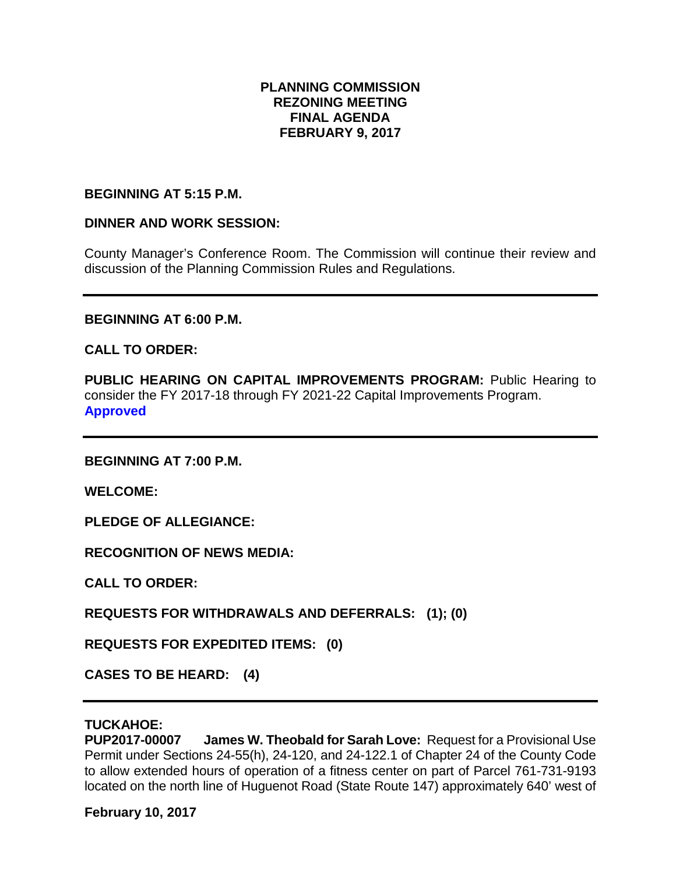### **PLANNING COMMISSION REZONING MEETING FINAL AGENDA FEBRUARY 9, 2017**

#### **BEGINNING AT 5:15 P.M.**

#### **DINNER AND WORK SESSION:**

County Manager's Conference Room. The Commission will continue their review and discussion of the Planning Commission Rules and Regulations.

**BEGINNING AT 6:00 P.M.**

**CALL TO ORDER:**

**PUBLIC HEARING ON CAPITAL IMPROVEMENTS PROGRAM:** Public Hearing to consider the FY 2017-18 through FY 2021-22 Capital Improvements Program. **Approved**

**BEGINNING AT 7:00 P.M.**

**WELCOME:**

**PLEDGE OF ALLEGIANCE:**

**RECOGNITION OF NEWS MEDIA:**

**CALL TO ORDER:**

**REQUESTS FOR WITHDRAWALS AND DEFERRALS: (1); (0)**

**REQUESTS FOR EXPEDITED ITEMS: (0)**

**CASES TO BE HEARD: (4)**

### **TUCKAHOE:**

**PUP2017-00007 James W. Theobald for Sarah Love:** Request for a Provisional Use Permit under Sections 24-55(h), 24-120, and 24-122.1 of Chapter 24 of the County Code to allow extended hours of operation of a fitness center on part of Parcel 761-731-9193 located on the north line of Huguenot Road (State Route 147) approximately 640' west of

**February 10, 2017**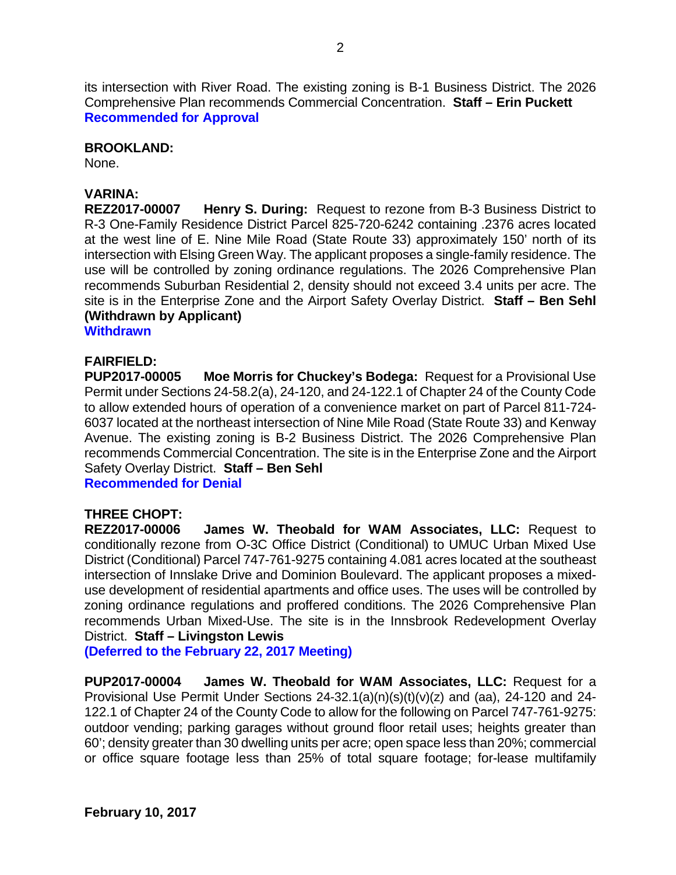its intersection with River Road. The existing zoning is B-1 Business District. The 2026 Comprehensive Plan recommends Commercial Concentration. **Staff – Erin Puckett Recommended for Approval**

#### **BROOKLAND:**

None.

#### **VARINA:**

**REZ2017-00007 Henry S. During:** Request to rezone from B-3 Business District to R-3 One-Family Residence District Parcel 825-720-6242 containing .2376 acres located at the west line of E. Nine Mile Road (State Route 33) approximately 150' north of its intersection with Elsing Green Way. The applicant proposes a single-family residence. The use will be controlled by zoning ordinance regulations. The 2026 Comprehensive Plan recommends Suburban Residential 2, density should not exceed 3.4 units per acre. The site is in the Enterprise Zone and the Airport Safety Overlay District. **Staff – Ben Sehl (Withdrawn by Applicant)**

**Withdrawn** 

# **FAIRFIELD:**

**Moe Morris for Chuckey's Bodega: Request for a Provisional Use** Permit under Sections 24-58.2(a), 24-120, and 24-122.1 of Chapter 24 of the County Code to allow extended hours of operation of a convenience market on part of Parcel 811-724- 6037 located at the northeast intersection of Nine Mile Road (State Route 33) and Kenway Avenue. The existing zoning is B-2 Business District. The 2026 Comprehensive Plan recommends Commercial Concentration. The site is in the Enterprise Zone and the Airport Safety Overlay District. **Staff – Ben Sehl**

**Recommended for Denial**

### **THREE CHOPT:**

**REZ2017-00006 James W. Theobald for WAM Associates, LLC:** Request to conditionally rezone from O-3C Office District (Conditional) to UMUC Urban Mixed Use District (Conditional) Parcel 747-761-9275 containing 4.081 acres located at the southeast intersection of Innslake Drive and Dominion Boulevard. The applicant proposes a mixeduse development of residential apartments and office uses. The uses will be controlled by zoning ordinance regulations and proffered conditions. The 2026 Comprehensive Plan recommends Urban Mixed-Use. The site is in the Innsbrook Redevelopment Overlay District. **Staff – Livingston Lewis**

**(Deferred to the February 22, 2017 Meeting)**

**PUP2017-00004 James W. Theobald for WAM Associates, LLC:** Request for a Provisional Use Permit Under Sections 24-32.1(a)(n)(s)(t)(v)(z) and (aa), 24-120 and 24- 122.1 of Chapter 24 of the County Code to allow for the following on Parcel 747-761-9275: outdoor vending; parking garages without ground floor retail uses; heights greater than 60'; density greater than 30 dwelling units per acre; open space less than 20%; commercial or office square footage less than 25% of total square footage; for-lease multifamily